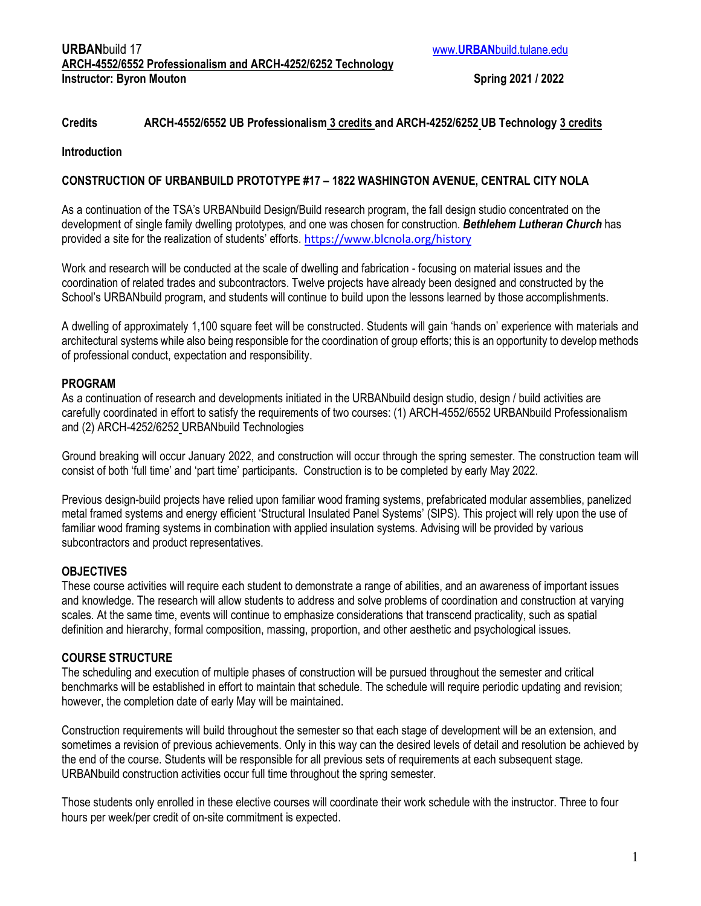### **Credits ARCH-4552/6552 UB Professionalism 3 credits and ARCH-4252/6252 UB Technology 3 credits**

**Introduction**

#### **CONSTRUCTION OF URBANBUILD PROTOTYPE #17 – 1822 WASHINGTON AVENUE, CENTRAL CITY NOLA**

As a continuation of the TSA's URBANbuild Design/Build research program, the fall design studio concentrated on the development of single family dwelling prototypes, and one was chosen for construction. *Bethlehem Lutheran Church* has provided a site for the realization of students' efforts. <https://www.blcnola.org/history>

Work and research will be conducted at the scale of dwelling and fabrication - focusing on material issues and the coordination of related trades and subcontractors. Twelve projects have already been designed and constructed by the School's URBANbuild program, and students will continue to build upon the lessons learned by those accomplishments.

A dwelling of approximately 1,100 square feet will be constructed. Students will gain 'hands on' experience with materials and architectural systems while also being responsible for the coordination of group efforts; this is an opportunity to develop methods of professional conduct, expectation and responsibility.

#### **PROGRAM**

As a continuation of research and developments initiated in the URBANbuild design studio, design / build activities are carefully coordinated in effort to satisfy the requirements of two courses: (1) ARCH-4552/6552 URBANbuild Professionalism and (2) ARCH-4252/6252 URBANbuild Technologies

Ground breaking will occur January 2022, and construction will occur through the spring semester. The construction team will consist of both 'full time' and 'part time' participants. Construction is to be completed by early May 2022.

Previous design-build projects have relied upon familiar wood framing systems, prefabricated modular assemblies, panelized metal framed systems and energy efficient 'Structural Insulated Panel Systems' (SIPS). This project will rely upon the use of familiar wood framing systems in combination with applied insulation systems. Advising will be provided by various subcontractors and product representatives.

### **OBJECTIVES**

These course activities will require each student to demonstrate a range of abilities, and an awareness of important issues and knowledge. The research will allow students to address and solve problems of coordination and construction at varying scales. At the same time, events will continue to emphasize considerations that transcend practicality, such as spatial definition and hierarchy, formal composition, massing, proportion, and other aesthetic and psychological issues.

### **COURSE STRUCTURE**

The scheduling and execution of multiple phases of construction will be pursued throughout the semester and critical benchmarks will be established in effort to maintain that schedule. The schedule will require periodic updating and revision; however, the completion date of early May will be maintained.

Construction requirements will build throughout the semester so that each stage of development will be an extension, and sometimes a revision of previous achievements. Only in this way can the desired levels of detail and resolution be achieved by the end of the course. Students will be responsible for all previous sets of requirements at each subsequent stage. URBANbuild construction activities occur full time throughout the spring semester.

Those students only enrolled in these elective courses will coordinate their work schedule with the instructor. Three to four hours per week/per credit of on-site commitment is expected.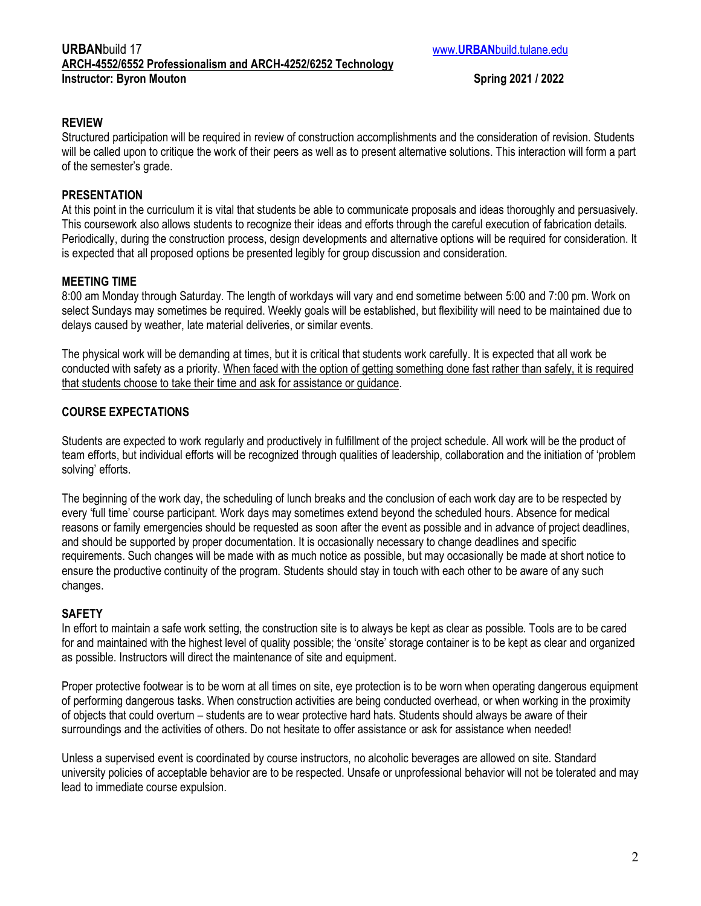## **REVIEW**

Structured participation will be required in review of construction accomplishments and the consideration of revision. Students will be called upon to critique the work of their peers as well as to present alternative solutions. This interaction will form a part of the semester's grade.

# **PRESENTATION**

At this point in the curriculum it is vital that students be able to communicate proposals and ideas thoroughly and persuasively. This coursework also allows students to recognize their ideas and efforts through the careful execution of fabrication details. Periodically, during the construction process, design developments and alternative options will be required for consideration. It is expected that all proposed options be presented legibly for group discussion and consideration.

## **MEETING TIME**

8:00 am Monday through Saturday. The length of workdays will vary and end sometime between 5:00 and 7:00 pm. Work on select Sundays may sometimes be required. Weekly goals will be established, but flexibility will need to be maintained due to delays caused by weather, late material deliveries, or similar events.

The physical work will be demanding at times, but it is critical that students work carefully. It is expected that all work be conducted with safety as a priority. When faced with the option of getting something done fast rather than safely, it is required that students choose to take their time and ask for assistance or guidance.

## **COURSE EXPECTATIONS**

Students are expected to work regularly and productively in fulfillment of the project schedule. All work will be the product of team efforts, but individual efforts will be recognized through qualities of leadership, collaboration and the initiation of 'problem solving' efforts.

The beginning of the work day, the scheduling of lunch breaks and the conclusion of each work day are to be respected by every 'full time' course participant. Work days may sometimes extend beyond the scheduled hours. Absence for medical reasons or family emergencies should be requested as soon after the event as possible and in advance of project deadlines, and should be supported by proper documentation. It is occasionally necessary to change deadlines and specific requirements. Such changes will be made with as much notice as possible, but may occasionally be made at short notice to ensure the productive continuity of the program. Students should stay in touch with each other to be aware of any such changes.

### **SAFETY**

In effort to maintain a safe work setting, the construction site is to always be kept as clear as possible. Tools are to be cared for and maintained with the highest level of quality possible; the 'onsite' storage container is to be kept as clear and organized as possible. Instructors will direct the maintenance of site and equipment.

Proper protective footwear is to be worn at all times on site, eye protection is to be worn when operating dangerous equipment of performing dangerous tasks. When construction activities are being conducted overhead, or when working in the proximity of objects that could overturn – students are to wear protective hard hats. Students should always be aware of their surroundings and the activities of others. Do not hesitate to offer assistance or ask for assistance when needed!

Unless a supervised event is coordinated by course instructors, no alcoholic beverages are allowed on site. Standard university policies of acceptable behavior are to be respected. Unsafe or unprofessional behavior will not be tolerated and may lead to immediate course expulsion.